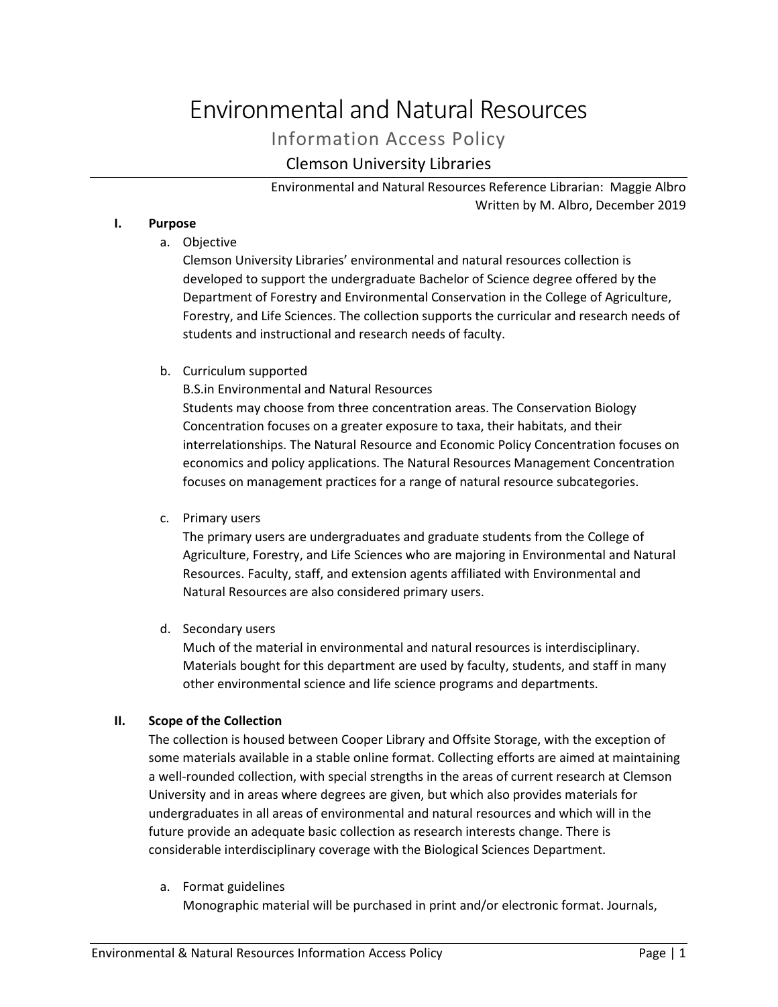# Environmental and Natural Resources

# Information Access Policy

# Clemson University Libraries

Environmental and Natural Resources Reference Librarian: Maggie Albro Written by M. Albro, December 2019

# **I. Purpose**

a. Objective

Clemson University Libraries' environmental and natural resources collection is developed to support the undergraduate Bachelor of Science degree offered by the Department of Forestry and Environmental Conservation in the College of Agriculture, Forestry, and Life Sciences. The collection supports the curricular and research needs of students and instructional and research needs of faculty.

# b. Curriculum supported

B.S.in Environmental and Natural Resources

Students may choose from three concentration areas. The Conservation Biology Concentration focuses on a greater exposure to taxa, their habitats, and their interrelationships. The Natural Resource and Economic Policy Concentration focuses on economics and policy applications. The Natural Resources Management Concentration focuses on management practices for a range of natural resource subcategories.

c. Primary users

The primary users are undergraduates and graduate students from the College of Agriculture, Forestry, and Life Sciences who are majoring in Environmental and Natural Resources. Faculty, staff, and extension agents affiliated with Environmental and Natural Resources are also considered primary users.

d. Secondary users

Much of the material in environmental and natural resources is interdisciplinary. Materials bought for this department are used by faculty, students, and staff in many other environmental science and life science programs and departments.

# **II. Scope of the Collection**

The collection is housed between Cooper Library and Offsite Storage, with the exception of some materials available in a stable online format. Collecting efforts are aimed at maintaining a well-rounded collection, with special strengths in the areas of current research at Clemson University and in areas where degrees are given, but which also provides materials for undergraduates in all areas of environmental and natural resources and which will in the future provide an adequate basic collection as research interests change. There is considerable interdisciplinary coverage with the Biological Sciences Department.

a. Format guidelines

Monographic material will be purchased in print and/or electronic format. Journals,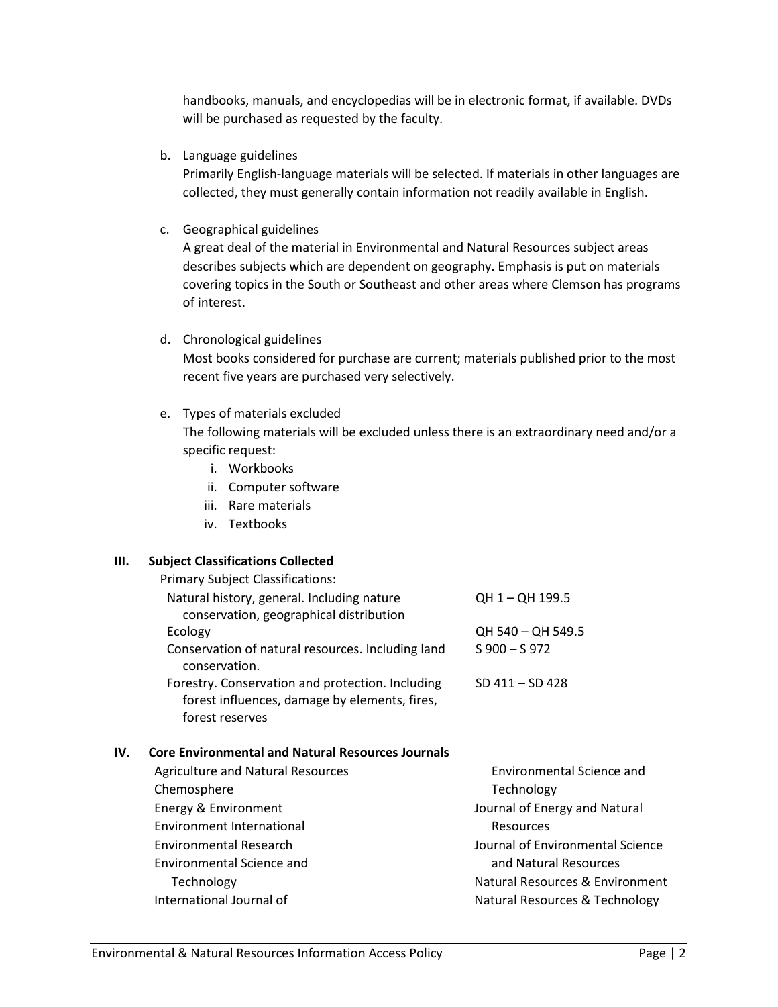handbooks, manuals, and encyclopedias will be in electronic format, if available. DVDs will be purchased as requested by the faculty.

b. Language guidelines

Primarily English-language materials will be selected. If materials in other languages are collected, they must generally contain information not readily available in English.

c. Geographical guidelines

A great deal of the material in Environmental and Natural Resources subject areas describes subjects which are dependent on geography. Emphasis is put on materials covering topics in the South or Southeast and other areas where Clemson has programs of interest.

d. Chronological guidelines

Most books considered for purchase are current; materials published prior to the most recent five years are purchased very selectively.

e. Types of materials excluded

The following materials will be excluded unless there is an extraordinary need and/or a specific request:

- i. Workbooks
- ii. Computer software
- iii. Rare materials
- iv. Textbooks

# **III. Subject Classifications Collected**

|     | <b>Primary Subject Classifications:</b>                                                                              |                    |
|-----|----------------------------------------------------------------------------------------------------------------------|--------------------|
|     | Natural history, general. Including nature<br>conservation, geographical distribution                                | QH 1 - QH 199.5    |
|     | Ecology                                                                                                              | QH 540 - QH 549.5  |
|     | Conservation of natural resources. Including land<br>conservation.                                                   | $S$ 900 – S 972    |
|     | Forestry. Conservation and protection. Including<br>forest influences, damage by elements, fires,<br>forest reserves | $SD 411 - SD 428$  |
| IV. | <b>Core Environmental and Natural Resources Journals</b><br>Agriculture and Natural Recources                        | Environmantal Scia |

| <b>Agriculture and Natural Resources</b> | <b>Environmental Science and</b> |
|------------------------------------------|----------------------------------|
| Chemosphere                              | Technology                       |
| Energy & Environment                     | Journal of Energy and Natural    |
| Environment International                | Resources                        |
| <b>Environmental Research</b>            | Journal of Environmental Science |
| Environmental Science and                | and Natural Resources            |
| Technology                               | Natural Resources & Environment  |
| International Journal of                 | Natural Resources & Technology   |
|                                          |                                  |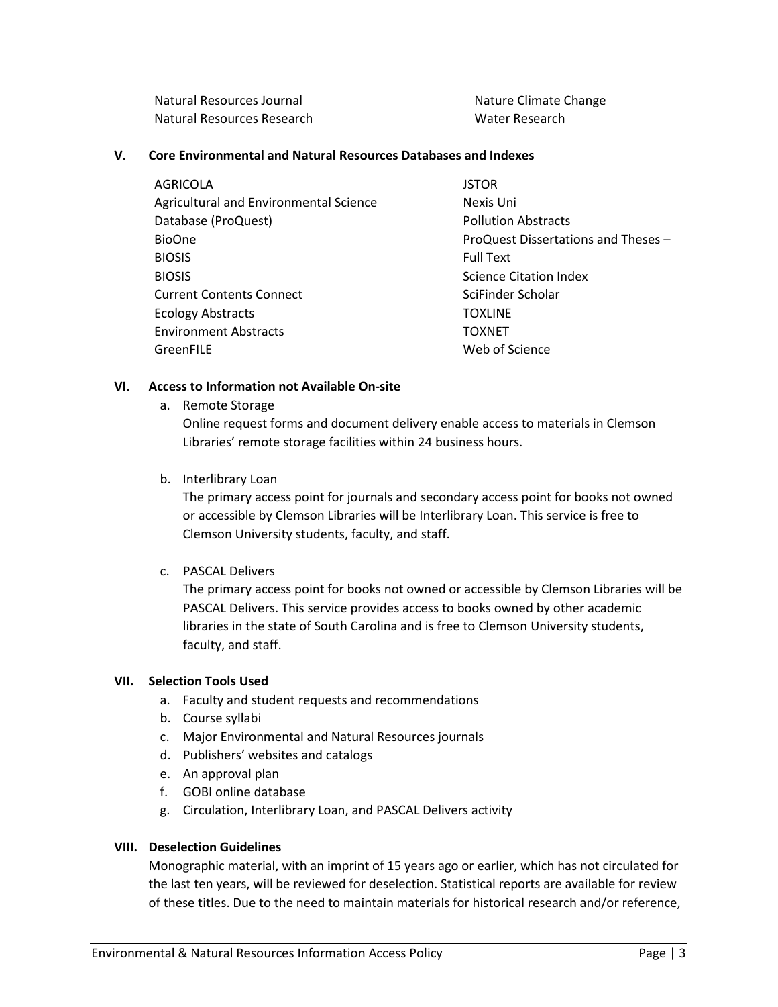Natural Resources Journal Natural Resources Research

Nature Climate Change Water Research

#### **V. Core Environmental and Natural Resources Databases and Indexes**

AGRICOLA Agricultural and Environmental Science Database (ProQuest) BioOne BIOSIS BIOSIS Current Contents Connect Ecology Abstracts Environment Abstracts **GreenFILE** 

**JSTOR** Nexis Uni Pollution Abstracts ProQuest Dissertations and Theses – Full Text Science Citation Index SciFinder Scholar TOXLINE TOXNET Web of Science

#### **VI. Access to Information not Available On-site**

a. Remote Storage

Online request forms and document delivery enable access to materials in Clemson Libraries' remote storage facilities within 24 business hours.

b. Interlibrary Loan

The primary access point for journals and secondary access point for books not owned or accessible by Clemson Libraries will be Interlibrary Loan. This service is free to Clemson University students, faculty, and staff.

c. PASCAL Delivers

The primary access point for books not owned or accessible by Clemson Libraries will be PASCAL Delivers. This service provides access to books owned by other academic libraries in the state of South Carolina and is free to Clemson University students, faculty, and staff.

# **VII. Selection Tools Used**

- a. Faculty and student requests and recommendations
- b. Course syllabi
- c. Major Environmental and Natural Resources journals
- d. Publishers' websites and catalogs
- e. An approval plan
- f. GOBI online database
- g. Circulation, Interlibrary Loan, and PASCAL Delivers activity

#### **VIII. Deselection Guidelines**

Monographic material, with an imprint of 15 years ago or earlier, which has not circulated for the last ten years, will be reviewed for deselection. Statistical reports are available for review of these titles. Due to the need to maintain materials for historical research and/or reference,